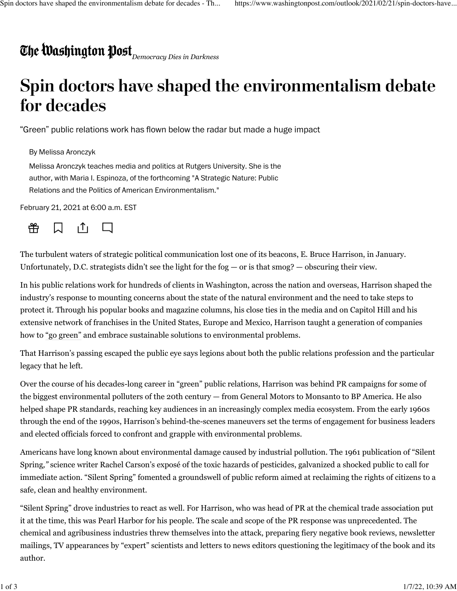## *Democracy Dies in Darkness*

## **Spin doctors have shaped the environmentalism debate for decades**

"Green" public relations work has flown below the radar but made a huge impact

By Melissa Aronczyk

Melissa Aronczyk teaches media and politics at Rutgers University. She is the author, with Maria I. Espinoza, of the forthcoming "A Strategic Nature: Public Relations and the Politics of American Environmentalism."

February 21, 2021 at 6:00 a.m. EST



The turbulent waters of strategic political communication lost one of its beacons, [E. Bruce Harrison,](https://www.odwyerpr.com/story/public/15557/2021-01-25/e-bruce-harrison-dies-at-88.html) in January. Unfortunately, D.C. strategists didn't see the light for the fog  $-$  or is that smog?  $-$  obscuring their view.

In his public relations work for hundreds of clients in Washington, across the nation and overseas, Harrison shaped the industry's response to mounting concerns about the state of the natural environment and the need to take steps to protect it. Through his popular books and magazine columns, his close ties in the media and on Capitol Hill and his extensive network of franchises in the United States, Europe and Mexico, Harrison taught a generation of companies how to ["go green"](https://books.google.com/books/about/Going_Green.html?id=sYcTAQAAMAAJ) and embrace sustainable solutions to environmental problems.

That Harrison's passing escaped the public eye says legions about both the public relations profession and the particular legacy that he left.

Over the course of his decades-long career in "green" public relations, Harrison was behind PR campaigns for some of the biggest environmental polluters of the 20th century — from General Motors to Monsanto to BP America. He also helped shape PR standards, reaching key audiences in an increasingly complex media ecosystem. From the early 1960s through the end of the 1990s, Harrison's behind-the-scenes maneuvers set the terms of engagement for business leaders and elected officials forced to confront and grapple with environmental problems.

Americans have long known about environmental damage caused by industrial pollution. The 1961 publication of "Silent Spring*,"* science writer Rachel Carson's exposé of the toxic hazards of pesticides, galvanized a shocked public to call for immediate action. "Silent Spring" fomented a groundswell of public reform aimed at reclaiming the rights of citizens to a safe, clean and healthy environment.

"Silent Spring" drove industries to react as well. For Harrison, who was head of PR at the chemical trade association put it at the time, this was Pearl Harbor for his people. The scale and scope of the PR response was unprecedented. The chemical and agribusiness industries threw themselves into the attack, preparing fiery negative book reviews, newsletter mailings, TV appearances by "expert" scientists and letters to news editors questioning the legitimacy of the book and its author.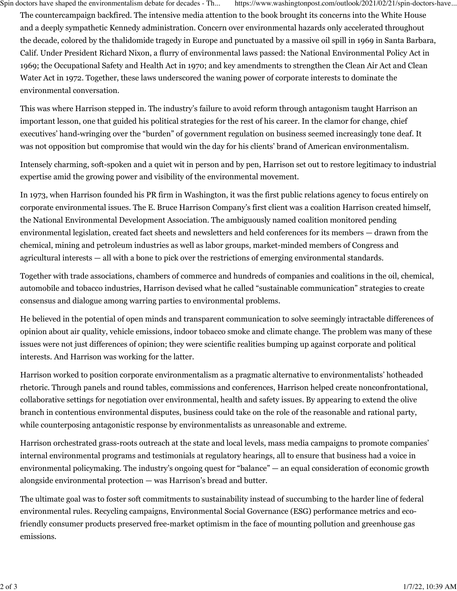Spin doctors have shaped the environmentalism debate for decades - Th... https://www.washingtonpost.com/outlook/2021/02/21/spin-doctors-have...

The countercampaign backfired. The intensive media attention to the book brought its concerns into the White House and a deeply sympathetic Kennedy administration. Concern over environmental hazards only accelerated throughout the decade, colored by the thalidomide tragedy in Europe and punctuated by a massive oil spill in 1969 in Santa Barbara, Calif. Under President Richard Nixon, a flurry of environmental laws passed: the National Environmental Policy Act in 1969; the Occupational Safety and Health Act in 1970; and key amendments to strengthen the Clean Air Act and Clean Water Act in 1972. Together, these laws underscored the waning power of corporate interests to dominate the environmental conversation.

This was where Harrison stepped in. The industry's failure to avoid reform through antagonism taught Harrison an important lesson, one that guided his political strategies for the rest of his career. In the clamor for change, chief executives' hand-wringing over the "burden" of government regulation on business seemed increasingly tone deaf. It was not opposition but compromise that would win the day for his clients' brand of American environmentalism.

Intensely charming, soft-spoken and a quiet wit in person and by pen, Harrison set out to restore legitimacy to industrial expertise amid the growing power and visibility of the environmental movement.

In 1973, when Harrison founded his PR firm in Washington, it was the first public relations agency to focus entirely on corporate environmental issues. The E. Bruce Harrison Company's first client was a coalition Harrison created himself, the National Environmental Development Association. The ambiguously named coalition monitored pending environmental legislation, created fact sheets and newsletters and held conferences for its members — drawn from the chemical, mining and petroleum industries as well as labor groups, market-minded members of Congress and agricultural interests — all with a bone to pick over the restrictions of emerging environmental standards.

Together with trade associations, chambers of commerce and hundreds of companies and coalitions in the oil, chemical, automobile and tobacco industries, Harrison devised what he called "sustainable communication" strategies to create consensus and dialogue among warring parties to environmental problems.

He believed in the potential of open minds and transparent communication to solve seemingly intractable differences of opinion about air quality, vehicle emissions, indoor tobacco smoke and climate change. The problem was many of these issues were not just differences of opinion; they were scientific realities bumping up against corporate and political interests. And Harrison was working for the latter.

Harrison worked to position corporate environmentalism as a pragmatic alternative to environmentalists' hotheaded rhetoric. Through panels and round tables, commissions and conferences, Harrison helped create nonconfrontational, collaborative settings for negotiation over environmental, health and safety issues. By appearing to extend the olive branch in contentious environmental disputes, business could take on the role of the reasonable and rational party, while counterposing antagonistic response by environmentalists as unreasonable and extreme.

Harrison orchestrated grass-roots outreach at the state and local levels, mass media campaigns to promote companies' internal environmental programs and testimonials at regulatory hearings, all to ensure that business had a voice in environmental policymaking. The industry's ongoing quest for "balance" — an equal consideration of economic growth alongside environmental protection — was Harrison's bread and butter.

The ultimate goal was to foster soft commitments to sustainability instead of succumbing to the harder line of federal environmental rules. Recycling campaigns, Environmental Social Governance (ESG) performance metrics and ecofriendly consumer products preserved free-market optimism in the face of mounting pollution and greenhouse gas emissions.